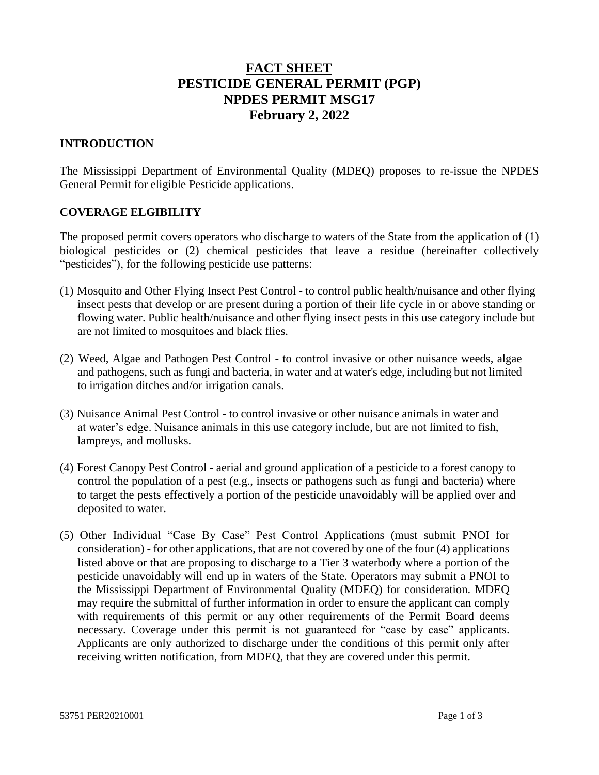# **FACT SHEET PESTICIDE GENERAL PERMIT (PGP) NPDES PERMIT MSG17 February 2, 2022**

#### **INTRODUCTION**

The Mississippi Department of Environmental Quality (MDEQ) proposes to re-issue the NPDES General Permit for eligible Pesticide applications.

#### **COVERAGE ELGIBILITY**

The proposed permit covers operators who discharge to waters of the State from the application of (1) biological pesticides or (2) chemical pesticides that leave a residue (hereinafter collectively "pesticides"), for the following pesticide use patterns:

- (1) Mosquito and Other Flying Insect Pest Control to control public health/nuisance and other flying insect pests that develop or are present during a portion of their life cycle in or above standing or flowing water. Public health/nuisance and other flying insect pests in this use category include but are not limited to mosquitoes and black flies.
- (2) Weed, Algae and Pathogen Pest Control to control invasive or other nuisance weeds, algae and pathogens, such as fungi and bacteria, in water and at water's edge, including but not limited to irrigation ditches and/or irrigation canals.
- (3) Nuisance Animal Pest Control to control invasive or other nuisance animals in water and at water's edge. Nuisance animals in this use category include, but are not limited to fish, lampreys, and mollusks.
- (4) Forest Canopy Pest Control aerial and ground application of a pesticide to a forest canopy to control the population of a pest (e.g., insects or pathogens such as fungi and bacteria) where to target the pests effectively a portion of the pesticide unavoidably will be applied over and deposited to water.
- (5) Other Individual "Case By Case" Pest Control Applications (must submit PNOI for consideration) - for other applications, that are not covered by one of the four (4) applications listed above or that are proposing to discharge to a Tier 3 waterbody where a portion of the pesticide unavoidably will end up in waters of the State. Operators may submit a PNOI to the Mississippi Department of Environmental Quality (MDEQ) for consideration. MDEQ may require the submittal of further information in order to ensure the applicant can comply with requirements of this permit or any other requirements of the Permit Board deems necessary. Coverage under this permit is not guaranteed for "case by case" applicants. Applicants are only authorized to discharge under the conditions of this permit only after receiving written notification, from MDEQ, that they are covered under this permit.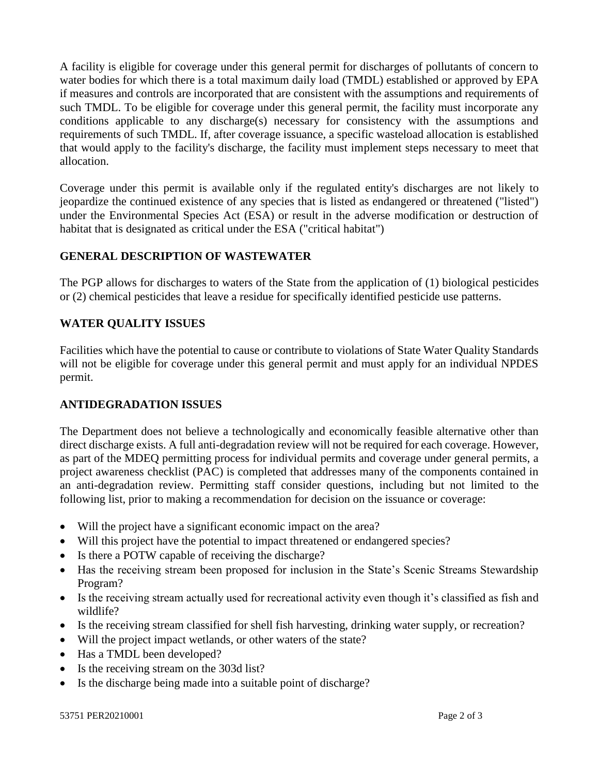A facility is eligible for coverage under this general permit for discharges of pollutants of concern to water bodies for which there is a total maximum daily load (TMDL) established or approved by EPA if measures and controls are incorporated that are consistent with the assumptions and requirements of such TMDL. To be eligible for coverage under this general permit, the facility must incorporate any conditions applicable to any discharge(s) necessary for consistency with the assumptions and requirements of such TMDL. If, after coverage issuance, a specific wasteload allocation is established that would apply to the facility's discharge, the facility must implement steps necessary to meet that allocation.

Coverage under this permit is available only if the regulated entity's discharges are not likely to jeopardize the continued existence of any species that is listed as endangered or threatened ("listed") under the Environmental Species Act (ESA) or result in the adverse modification or destruction of habitat that is designated as critical under the ESA ("critical habitat")

# **GENERAL DESCRIPTION OF WASTEWATER**

The PGP allows for discharges to waters of the State from the application of (1) biological pesticides or (2) chemical pesticides that leave a residue for specifically identified pesticide use patterns.

# **WATER QUALITY ISSUES**

Facilities which have the potential to cause or contribute to violations of State Water Quality Standards will not be eligible for coverage under this general permit and must apply for an individual NPDES permit.

# **ANTIDEGRADATION ISSUES**

The Department does not believe a technologically and economically feasible alternative other than direct discharge exists. A full anti-degradation review will not be required for each coverage. However, as part of the MDEQ permitting process for individual permits and coverage under general permits, a project awareness checklist (PAC) is completed that addresses many of the components contained in an anti-degradation review. Permitting staff consider questions, including but not limited to the following list, prior to making a recommendation for decision on the issuance or coverage:

- Will the project have a significant economic impact on the area?
- Will this project have the potential to impact threatened or endangered species?
- Is there a POTW capable of receiving the discharge?
- Has the receiving stream been proposed for inclusion in the State's Scenic Streams Stewardship Program?
- Is the receiving stream actually used for recreational activity even though it's classified as fish and wildlife?
- Is the receiving stream classified for shell fish harvesting, drinking water supply, or recreation?
- Will the project impact wetlands, or other waters of the state?
- Has a TMDL been developed?
- Is the receiving stream on the 303d list?
- Is the discharge being made into a suitable point of discharge?